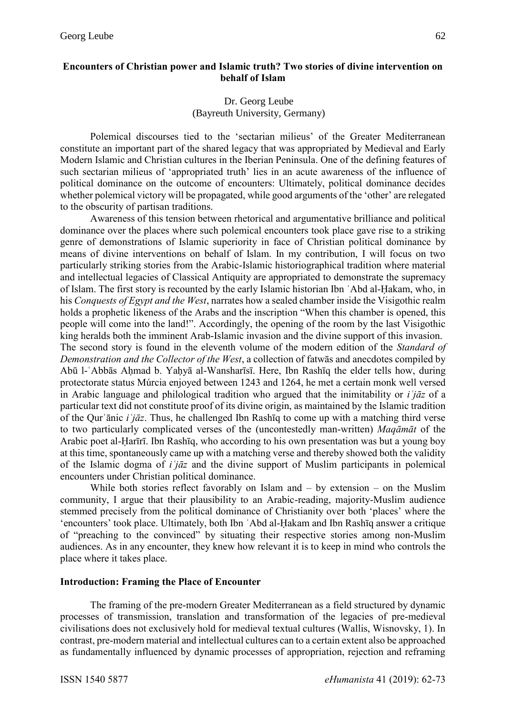## **Encounters of Christian power and Islamic truth? Two stories of divine intervention on behalf of Islam**

#### Dr. Georg Leube (Bayreuth University, Germany)

Polemical discourses tied to the 'sectarian milieus' of the Greater Mediterranean constitute an important part of the shared legacy that was appropriated by Medieval and Early Modern Islamic and Christian cultures in the Iberian Peninsula. One of the defining features of such sectarian milieus of 'appropriated truth' lies in an acute awareness of the influence of political dominance on the outcome of encounters: Ultimately, political dominance decides whether polemical victory will be propagated, while good arguments of the 'other' are relegated to the obscurity of partisan traditions.

Awareness of this tension between rhetorical and argumentative brilliance and political dominance over the places where such polemical encounters took place gave rise to a striking genre of demonstrations of Islamic superiority in face of Christian political dominance by means of divine interventions on behalf of Islam. In my contribution, I will focus on two particularly striking stories from the Arabic-Islamic historiographical tradition where material and intellectual legacies of Classical Antiquity are appropriated to demonstrate the supremacy of Islam. The first story is recounted by the early Islamic historian Ibn ʿAbd al-Ḥakam, who, in his *Conquests of Egypt and the West*, narrates how a sealed chamber inside the Visigothic realm holds a prophetic likeness of the Arabs and the inscription "When this chamber is opened, this people will come into the land!". Accordingly, the opening of the room by the last Visigothic king heralds both the imminent Arab-Islamic invasion and the divine support of this invasion. The second story is found in the eleventh volume of the modern edition of the *Standard of Demonstration and the Collector of the West*, a collection of fatwās and anecdotes compiled by Abū l-ʿAbbās Aḥmad b. Yaḥyā al-Wansharīsī. Here, Ibn Rashīq the elder tells how, during protectorate status Múrcia enjoyed between 1243 and 1264, he met a certain monk well versed in Arabic language and philological tradition who argued that the inimitability or *iʿjāz* of a particular text did not constitute proof of its divine origin, as maintained by the Islamic tradition of the Qurʾānic *iʿjāz*. Thus, he challenged Ibn Rashīq to come up with a matching third verse to two particularly complicated verses of the (uncontestedly man-written) *Maqāmāt* of the Arabic poet al-Ḥarīrī. Ibn Rashīq, who according to his own presentation was but a young boy at this time, spontaneously came up with a matching verse and thereby showed both the validity of the Islamic dogma of *iʿjāz* and the divine support of Muslim participants in polemical encounters under Christian political dominance.

While both stories reflect favorably on Islam and – by extension – on the Muslim community, I argue that their plausibility to an Arabic-reading, majority-Muslim audience stemmed precisely from the political dominance of Christianity over both 'places' where the 'encounters' took place. Ultimately, both Ibn ʿAbd al-Ḥakam and Ibn Rashīq answer a critique of "preaching to the convinced" by situating their respective stories among non-Muslim audiences. As in any encounter, they knew how relevant it is to keep in mind who controls the place where it takes place.

#### **Introduction: Framing the Place of Encounter**

The framing of the pre-modern Greater Mediterranean as a field structured by dynamic processes of transmission, translation and transformation of the legacies of pre-medieval civilisations does not exclusively hold for medieval textual cultures (Wallis, Wisnovsky, 1). In contrast, pre-modern material and intellectual cultures can to a certain extent also be approached as fundamentally influenced by dynamic processes of appropriation, rejection and reframing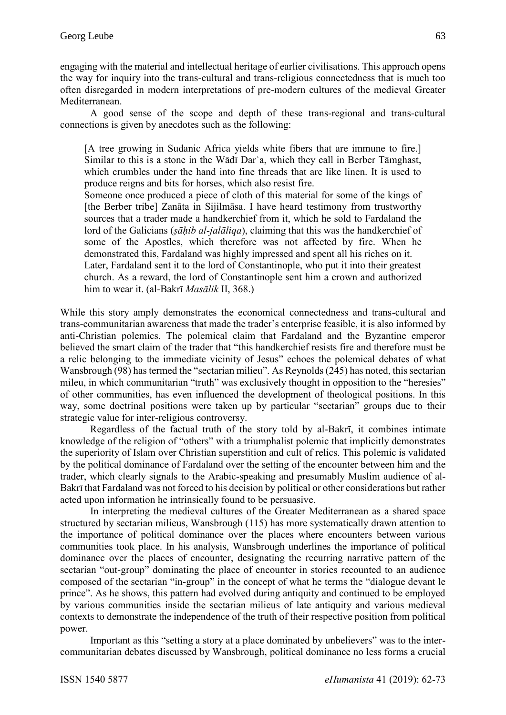engaging with the material and intellectual heritage of earlier civilisations. This approach opens the way for inquiry into the trans-cultural and trans-religious connectedness that is much too often disregarded in modern interpretations of pre-modern cultures of the medieval Greater Mediterranean.

A good sense of the scope and depth of these trans-regional and trans-cultural connections is given by anecdotes such as the following:

[A tree growing in Sudanic Africa yields white fibers that are immune to fire.] Similar to this is a stone in the Wādī Darʿa, which they call in Berber Tāmghast, which crumbles under the hand into fine threads that are like linen. It is used to produce reigns and bits for horses, which also resist fire.

Someone once produced a piece of cloth of this material for some of the kings of [the Berber tribe] Zanāta in Sijilmāsa. I have heard testimony from trustworthy sources that a trader made a handkerchief from it, which he sold to Fardaland the lord of the Galicians (*ṣāḥib al-jalāliqa*), claiming that this was the handkerchief of some of the Apostles, which therefore was not affected by fire. When he demonstrated this, Fardaland was highly impressed and spent all his riches on it. Later, Fardaland sent it to the lord of Constantinople, who put it into their greatest church. As a reward, the lord of Constantinople sent him a crown and authorized him to wear it. (al-Bakrī *Masālik* II, 368.)

While this story amply demonstrates the economical connectedness and trans-cultural and trans-communitarian awareness that made the trader's enterprise feasible, it is also informed by anti-Christian polemics. The polemical claim that Fardaland and the Byzantine emperor believed the smart claim of the trader that "this handkerchief resists fire and therefore must be a relic belonging to the immediate vicinity of Jesus" echoes the polemical debates of what Wansbrough (98) has termed the "sectarian milieu". As Reynolds (245) has noted, this sectarian mileu, in which communitarian "truth" was exclusively thought in opposition to the "heresies" of other communities, has even influenced the development of theological positions. In this way, some doctrinal positions were taken up by particular "sectarian" groups due to their strategic value for inter-religious controversy.

Regardless of the factual truth of the story told by al-Bakrī, it combines intimate knowledge of the religion of "others" with a triumphalist polemic that implicitly demonstrates the superiority of Islam over Christian superstition and cult of relics. This polemic is validated by the political dominance of Fardaland over the setting of the encounter between him and the trader, which clearly signals to the Arabic-speaking and presumably Muslim audience of al-Bakrī that Fardaland was not forced to his decision by political or other considerations but rather acted upon information he intrinsically found to be persuasive.

In interpreting the medieval cultures of the Greater Mediterranean as a shared space structured by sectarian milieus, Wansbrough (115) has more systematically drawn attention to the importance of political dominance over the places where encounters between various communities took place. In his analysis, Wansbrough underlines the importance of political dominance over the places of encounter, designating the recurring narrative pattern of the sectarian "out-group" dominating the place of encounter in stories recounted to an audience composed of the sectarian "in-group" in the concept of what he terms the "dialogue devant le prince". As he shows, this pattern had evolved during antiquity and continued to be employed by various communities inside the sectarian milieus of late antiquity and various medieval contexts to demonstrate the independence of the truth of their respective position from political power.

Important as this "setting a story at a place dominated by unbelievers" was to the intercommunitarian debates discussed by Wansbrough, political dominance no less forms a crucial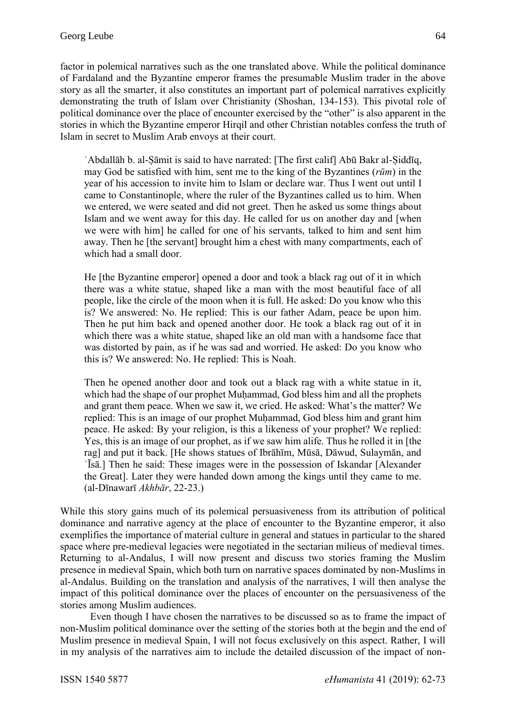factor in polemical narratives such as the one translated above. While the political dominance of Fardaland and the Byzantine emperor frames the presumable Muslim trader in the above story as all the smarter, it also constitutes an important part of polemical narratives explicitly demonstrating the truth of Islam over Christianity (Shoshan, 134-153). This pivotal role of political dominance over the place of encounter exercised by the "other" is also apparent in the stories in which the Byzantine emperor Hirqil and other Christian notables confess the truth of Islam in secret to Muslim Arab envoys at their court.

ʿAbdallāh b. al-Ṣāmit is said to have narrated: [The first calif] Abū Bakr al-Ṣiddīq, may God be satisfied with him, sent me to the king of the Byzantines (*rūm*) in the year of his accession to invite him to Islam or declare war. Thus I went out until I came to Constantinople, where the ruler of the Byzantines called us to him. When we entered, we were seated and did not greet. Then he asked us some things about Islam and we went away for this day. He called for us on another day and [when we were with him] he called for one of his servants, talked to him and sent him away. Then he [the servant] brought him a chest with many compartments, each of which had a small door.

He [the Byzantine emperor] opened a door and took a black rag out of it in which there was a white statue, shaped like a man with the most beautiful face of all people, like the circle of the moon when it is full. He asked: Do you know who this is? We answered: No. He replied: This is our father Adam, peace be upon him. Then he put him back and opened another door. He took a black rag out of it in which there was a white statue, shaped like an old man with a handsome face that was distorted by pain, as if he was sad and worried. He asked: Do you know who this is? We answered: No. He replied: This is Noah.

Then he opened another door and took out a black rag with a white statue in it, which had the shape of our prophet Muḥammad, God bless him and all the prophets and grant them peace. When we saw it, we cried. He asked: What's the matter? We replied: This is an image of our prophet Muḥammad, God bless him and grant him peace. He asked: By your religion, is this a likeness of your prophet? We replied: Yes, this is an image of our prophet, as if we saw him alife. Thus he rolled it in [the rag] and put it back. [He shows statues of Ibrāhīm, Mūsā, Dāwud, Sulaymān, and ʿĪsā.] Then he said: These images were in the possession of Iskandar [Alexander the Great]. Later they were handed down among the kings until they came to me. (al-Dīnawarī *Akhbār*, 22-23.)

While this story gains much of its polemical persuasiveness from its attribution of political dominance and narrative agency at the place of encounter to the Byzantine emperor, it also exemplifies the importance of material culture in general and statues in particular to the shared space where pre-medieval legacies were negotiated in the sectarian milieus of medieval times. Returning to al-Andalus, I will now present and discuss two stories framing the Muslim presence in medieval Spain, which both turn on narrative spaces dominated by non-Muslims in al-Andalus. Building on the translation and analysis of the narratives, I will then analyse the impact of this political dominance over the places of encounter on the persuasiveness of the stories among Muslim audiences.

Even though I have chosen the narratives to be discussed so as to frame the impact of non-Muslim political dominance over the setting of the stories both at the begin and the end of Muslim presence in medieval Spain, I will not focus exclusively on this aspect. Rather, I will in my analysis of the narratives aim to include the detailed discussion of the impact of non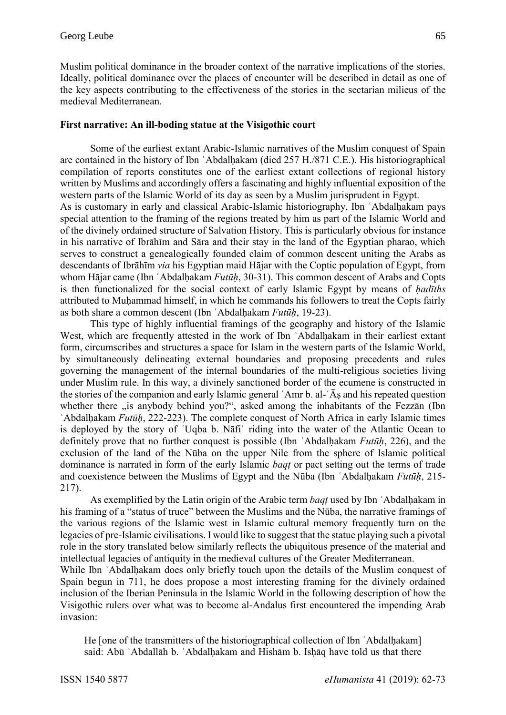Muslim political dominance in the broader context of the narrative implications of the stories. Ideally, political dominance over the places of encounter will be described in detail as one of the key aspects contributing to the effectiveness of the stories in the sectarian milieus of the medieval Mediterranean.

### **First narrative: An ill-boding statue at the Visigothic court**

Some of the earliest extant Arabic-Islamic narratives of the Muslim conquest of Spain are contained in the history of Ibn ʿAbdalḥakam (died 257 H./871 C.E.). His historiographical compilation of reports constitutes one of the earliest extant collections of regional history written by Muslims and accordingly offers a fascinating and highly influential exposition of the western parts of the Islamic World of its day as seen by a Muslim jurisprudent in Egypt.

As is customary in early and classical Arabic-Islamic historiography, Ibn ʿAbdalḥakam pays special attention to the framing of the regions treated by him as part of the Islamic World and of the divinely ordained structure of Salvation History. This is particularly obvious for instance in his narrative of Ibrāhīm and Sāra and their stay in the land of the Egyptian pharao, which serves to construct a genealogically founded claim of common descent uniting the Arabs as descendants of Ibrāhīm *via* his Egyptian maid Hājar with the Coptic population of Egypt, from whom Hājar came (Ibn ʿAbdalḥakam *Futūḥ*, 30-31). This common descent of Arabs and Copts is then functionalized for the social context of early Islamic Egypt by means of *ḥadīths* attributed to Muḥammad himself, in which he commands his followers to treat the Copts fairly as both share a common descent (Ibn ʿAbdalḥakam *Futūḥ*, 19-23).

This type of highly influential framings of the geography and history of the Islamic West, which are frequently attested in the work of Ibn 'Abdalḥakam in their earliest extant form, circumscribes and structures a space for Islam in the western parts of the Islamic World, by simultaneously delineating external boundaries and proposing precedents and rules governing the management of the internal boundaries of the multi-religious societies living under Muslim rule. In this way, a divinely sanctioned border of the ecumene is constructed in the stories of the companion and early Islamic general ʿAmr b. al-ʿĀṣ and his repeated question whether there "is anybody behind you?", asked among the inhabitants of the Fezzan (Ibn ʿAbdalḥakam *Futūḥ*, 222-223). The complete conquest of North Africa in early Islamic times is deployed by the story of ʿUqba b. Nāfiʿ riding into the water of the Atlantic Ocean to definitely prove that no further conquest is possible (Ibn ʿAbdalḥakam *Futūḥ*, 226), and the exclusion of the land of the Nūba on the upper Nile from the sphere of Islamic political dominance is narrated in form of the early Islamic *baqṭ* or pact setting out the terms of trade and coexistence between the Muslims of Egypt and the Nūba (Ibn ʿAbdalḥakam *Futūḥ*, 215- 217).

As exemplified by the Latin origin of the Arabic term *baqṭ* used by Ibn ʿAbdalḥakam in his framing of a "status of truce" between the Muslims and the Nūba, the narrative framings of the various regions of the Islamic west in Islamic cultural memory frequently turn on the legacies of pre-Islamic civilisations. I would like to suggest that the statue playing such a pivotal role in the story translated below similarly reflects the ubiquitous presence of the material and intellectual legacies of antiquity in the medieval cultures of the Greater Mediterranean.

While Ibn ʿAbdalḥakam does only briefly touch upon the details of the Muslim conquest of Spain begun in 711, he does propose a most interesting framing for the divinely ordained inclusion of the Iberian Peninsula in the Islamic World in the following description of how the Visigothic rulers over what was to become al-Andalus first encountered the impending Arab invasion:

He [one of the transmitters of the historiographical collection of Ibn `Abdalhakam] said: Abū ʿAbdallāh b. ʿAbdalḥakam and Hishām b. Isḥāq have told us that there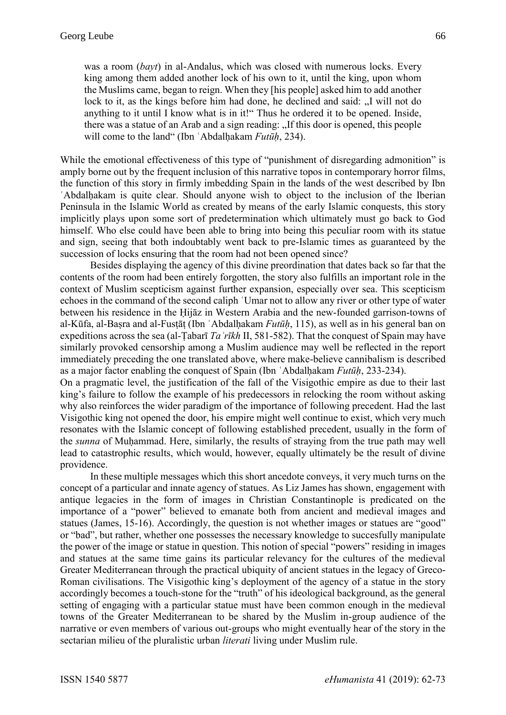was a room (*bayt*) in al-Andalus, which was closed with numerous locks. Every king among them added another lock of his own to it, until the king, upon whom the Muslims came, began to reign. When they [his people] asked him to add another lock to it, as the kings before him had done, he declined and said: "I will not do anything to it until I know what is in it!" Thus he ordered it to be opened. Inside, there was a statue of an Arab and a sign reading: "If this door is opened, this people will come to the land" (Ibn ʿAbdalḥakam *Futūḥ*, 234).

While the emotional effectiveness of this type of "punishment of disregarding admonition" is amply borne out by the frequent inclusion of this narrative topos in contemporary horror films, the function of this story in firmly imbedding Spain in the lands of the west described by Ibn ʿAbdalḥakam is quite clear. Should anyone wish to object to the inclusion of the Iberian Peninsula in the Islamic World as created by means of the early Islamic conquests, this story implicitly plays upon some sort of predetermination which ultimately must go back to God himself. Who else could have been able to bring into being this peculiar room with its statue and sign, seeing that both indoubtably went back to pre-Islamic times as guaranteed by the succession of locks ensuring that the room had not been opened since?

Besides displaying the agency of this divine preordination that dates back so far that the contents of the room had been entirely forgotten, the story also fulfills an important role in the context of Muslim scepticism against further expansion, especially over sea. This scepticism echoes in the command of the second caliph ʿUmar not to allow any river or other type of water between his residence in the Ḥijāz in Western Arabia and the new-founded garrison-towns of al-Kūfa, al-Baṣra and al-Fusṭāṭ (Ibn ʿAbdalḥakam *Futūḥ*, 115), as well as in his general ban on expeditions across the sea (al-Ṭabarī *Taʾrīkh* II, 581-582). That the conquest of Spain may have similarly provoked censorship among a Muslim audience may well be reflected in the report immediately preceding the one translated above, where make-believe cannibalism is described as a major factor enabling the conquest of Spain (Ibn ʿAbdalḥakam *Futūḥ*, 233-234).

On a pragmatic level, the justification of the fall of the Visigothic empire as due to their last king's failure to follow the example of his predecessors in relocking the room without asking why also reinforces the wider paradigm of the importance of following precedent. Had the last Visigothic king not opened the door, his empire might well continue to exist, which very much resonates with the Islamic concept of following established precedent, usually in the form of the *sunna* of Muḥammad. Here, similarly, the results of straying from the true path may well lead to catastrophic results, which would, however, equally ultimately be the result of divine providence.

In these multiple messages which this short ancedote conveys, it very much turns on the concept of a particular and innate agency of statues. As Liz James has shown, engagement with antique legacies in the form of images in Christian Constantinople is predicated on the importance of a "power" believed to emanate both from ancient and medieval images and statues (James, 15-16). Accordingly, the question is not whether images or statues are "good" or "bad", but rather, whether one possesses the necessary knowledge to succesfully manipulate the power of the image or statue in question. This notion of special "powers" residing in images and statues at the same time gains its particular relevancy for the cultures of the medieval Greater Mediterranean through the practical ubiquity of ancient statues in the legacy of Greco-Roman civilisations. The Visigothic king's deployment of the agency of a statue in the story accordingly becomes a touch-stone for the "truth" of his ideological background, as the general setting of engaging with a particular statue must have been common enough in the medieval towns of the Greater Mediterranean to be shared by the Muslim in-group audience of the narrative or even members of various out-groups who might eventually hear of the story in the sectarian milieu of the pluralistic urban *literati* living under Muslim rule.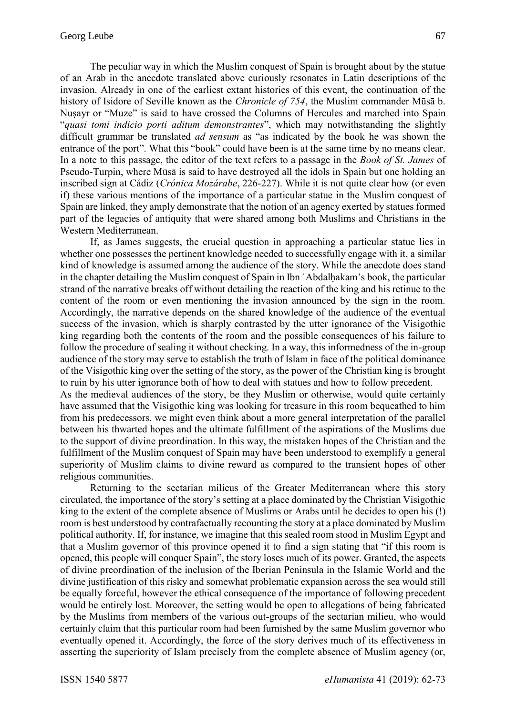The peculiar way in which the Muslim conquest of Spain is brought about by the statue of an Arab in the anecdote translated above curiously resonates in Latin descriptions of the invasion. Already in one of the earliest extant histories of this event, the continuation of the history of Isidore of Seville known as the *Chronicle of 754*, the Muslim commander Mūsā b. Nuṣayr or "Muze" is said to have crossed the Columns of Hercules and marched into Spain "*quasi tomi indicio porti aditum demonstrantes*", which may notwithstanding the slightly difficult grammar be translated *ad sensum* as "as indicated by the book he was shown the entrance of the port". What this "book" could have been is at the same time by no means clear. In a note to this passage, the editor of the text refers to a passage in the *Book of St. James* of Pseudo-Turpin, where Mūsā is said to have destroyed all the idols in Spain but one holding an inscribed sign at Cádiz (*Crónica Mozárabe*, 226-227). While it is not quite clear how (or even if) these various mentions of the importance of a particular statue in the Muslim conquest of Spain are linked, they amply demonstrate that the notion of an agency exerted by statues formed part of the legacies of antiquity that were shared among both Muslims and Christians in the Western Mediterranean.

If, as James suggests, the crucial question in approaching a particular statue lies in whether one possesses the pertinent knowledge needed to successfully engage with it, a similar kind of knowledge is assumed among the audience of the story. While the anecdote does stand in the chapter detailing the Muslim conquest of Spain in Ibn ʿAbdalḥakam's book, the particular strand of the narrative breaks off without detailing the reaction of the king and his retinue to the content of the room or even mentioning the invasion announced by the sign in the room. Accordingly, the narrative depends on the shared knowledge of the audience of the eventual success of the invasion, which is sharply contrasted by the utter ignorance of the Visigothic king regarding both the contents of the room and the possible consequences of his failure to follow the procedure of sealing it without checking. In a way, this informedness of the in-group audience of the story may serve to establish the truth of Islam in face of the political dominance of the Visigothic king over the setting of the story, as the power of the Christian king is brought to ruin by his utter ignorance both of how to deal with statues and how to follow precedent. As the medieval audiences of the story, be they Muslim or otherwise, would quite certainly have assumed that the Visigothic king was looking for treasure in this room bequeathed to him from his predecessors, we might even think about a more general interpretation of the parallel between his thwarted hopes and the ultimate fulfillment of the aspirations of the Muslims due to the support of divine preordination. In this way, the mistaken hopes of the Christian and the fulfillment of the Muslim conquest of Spain may have been understood to exemplify a general superiority of Muslim claims to divine reward as compared to the transient hopes of other religious communities.

Returning to the sectarian milieus of the Greater Mediterranean where this story circulated, the importance of the story's setting at a place dominated by the Christian Visigothic king to the extent of the complete absence of Muslims or Arabs until he decides to open his (!) room is best understood by contrafactually recounting the story at a place dominated by Muslim political authority. If, for instance, we imagine that this sealed room stood in Muslim Egypt and that a Muslim governor of this province opened it to find a sign stating that "if this room is opened, this people will conquer Spain", the story loses much of its power. Granted, the aspects of divine preordination of the inclusion of the Iberian Peninsula in the Islamic World and the divine justification of this risky and somewhat problematic expansion across the sea would still be equally forceful, however the ethical consequence of the importance of following precedent would be entirely lost. Moreover, the setting would be open to allegations of being fabricated by the Muslims from members of the various out-groups of the sectarian milieu, who would certainly claim that this particular room had been furnished by the same Muslim governor who eventually opened it. Accordingly, the force of the story derives much of its effectiveness in asserting the superiority of Islam precisely from the complete absence of Muslim agency (or,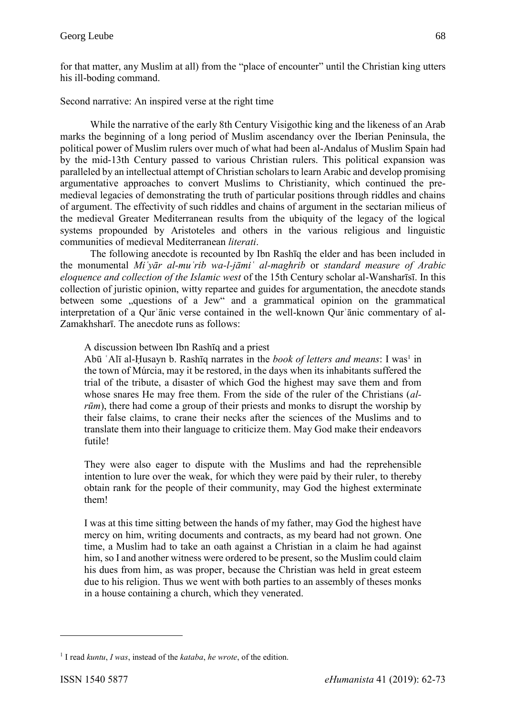for that matter, any Muslim at all) from the "place of encounter" until the Christian king utters his ill-boding command.

Second narrative: An inspired verse at the right time

While the narrative of the early 8th Century Visigothic king and the likeness of an Arab marks the beginning of a long period of Muslim ascendancy over the Iberian Peninsula, the political power of Muslim rulers over much of what had been al-Andalus of Muslim Spain had by the mid-13th Century passed to various Christian rulers. This political expansion was paralleled by an intellectual attempt of Christian scholars to learn Arabic and develop promising argumentative approaches to convert Muslims to Christianity, which continued the premedieval legacies of demonstrating the truth of particular positions through riddles and chains of argument. The effectivity of such riddles and chains of argument in the sectarian milieus of the medieval Greater Mediterranean results from the ubiquity of the legacy of the logical systems propounded by Aristoteles and others in the various religious and linguistic communities of medieval Mediterranean *literati*.

The following anecdote is recounted by Ibn Rashīq the elder and has been included in the monumental *Miʿyār al-muʿrib wa-l-jāmiʿ al-maghrib* or *standard measure of Arabic eloquence and collection of the Islamic west* of the 15th Century scholar al-Wansharīsī. In this collection of juristic opinion, witty repartee and guides for argumentation, the anecdote stands between some "questions of a Jew" and a grammatical opinion on the grammatical interpretation of a Qurʾānic verse contained in the well-known Qurʾānic commentary of al-Zamakhsharī. The anecdote runs as follows:

A discussion between Ibn Rashīq and a priest

Abū `Alī al-Ḥusayn b. Rashīq narrates in the *book of letters and means*: I was<sup>1</sup> in the town of Múrcia, may it be restored, in the days when its inhabitants suffered the trial of the tribute, a disaster of which God the highest may save them and from whose snares He may free them. From the side of the ruler of the Christians (*alrūm*), there had come a group of their priests and monks to disrupt the worship by their false claims, to crane their necks after the sciences of the Muslims and to translate them into their language to criticize them. May God make their endeavors futile!

They were also eager to dispute with the Muslims and had the reprehensible intention to lure over the weak, for which they were paid by their ruler, to thereby obtain rank for the people of their community, may God the highest exterminate them!

I was at this time sitting between the hands of my father, may God the highest have mercy on him, writing documents and contracts, as my beard had not grown. One time, a Muslim had to take an oath against a Christian in a claim he had against him, so I and another witness were ordered to be present, so the Muslim could claim his dues from him, as was proper, because the Christian was held in great esteem due to his religion. Thus we went with both parties to an assembly of theses monks in a house containing a church, which they venerated.

1

<sup>1</sup> I read *kuntu*, *I was*, instead of the *kataba*, *he wrote*, of the edition.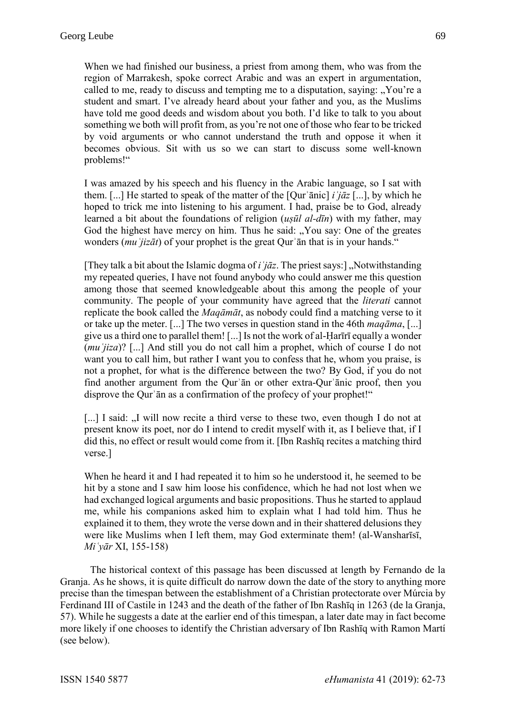When we had finished our business, a priest from among them, who was from the region of Marrakesh, spoke correct Arabic and was an expert in argumentation, called to me, ready to discuss and tempting me to a disputation, saying: "You're a student and smart. I've already heard about your father and you, as the Muslims have told me good deeds and wisdom about you both. I'd like to talk to you about something we both will profit from, as you're not one of those who fear to be tricked by void arguments or who cannot understand the truth and oppose it when it becomes obvious. Sit with us so we can start to discuss some well-known problems!"

I was amazed by his speech and his fluency in the Arabic language, so I sat with them. [...] He started to speak of the matter of the [Qurʾānic] *iʿjāz* [...], by which he hoped to trick me into listening to his argument. I had, praise be to God, already learned a bit about the foundations of religion (*uṣūl al-dīn*) with my father, may God the highest have mercy on him. Thus he said: "You say: One of the greates wonders (*muʿjizāt*) of your prophet is the great Qurʾān that is in your hands."

[They talk a bit about the Islamic dogma of *iʿjāz*. The priest says:] "Notwithstanding my repeated queries, I have not found anybody who could answer me this question among those that seemed knowledgeable about this among the people of your community. The people of your community have agreed that the *literati* cannot replicate the book called the *Maqāmāt*, as nobody could find a matching verse to it or take up the meter. [...] The two verses in question stand in the 46th *maqāma*, [...] give us a third one to parallel them! [...] Is not the work of al-Ḥarīrī equally a wonder (*muʿjiza*)? [...] And still you do not call him a prophet, which of course I do not want you to call him, but rather I want you to confess that he, whom you praise, is not a prophet, for what is the difference between the two? By God, if you do not find another argument from the Qurʾān or other extra-Qurʾānic proof, then you disprove the Qur'an as a confirmation of the profecy of your prophet!"

[...] I said: "I will now recite a third verse to these two, even though I do not at present know its poet, nor do I intend to credit myself with it, as I believe that, if I did this, no effect or result would come from it. [Ibn Rashīq recites a matching third verse.]

When he heard it and I had repeated it to him so he understood it, he seemed to be hit by a stone and I saw him loose his confidence, which he had not lost when we had exchanged logical arguments and basic propositions. Thus he started to applaud me, while his companions asked him to explain what I had told him. Thus he explained it to them, they wrote the verse down and in their shattered delusions they were like Muslims when I left them, may God exterminate them! (al-Wansharīsī, *Miʿyār* XI, 155-158)

The historical context of this passage has been discussed at length by Fernando de la Granja. As he shows, it is quite difficult do narrow down the date of the story to anything more precise than the timespan between the establishment of a Christian protectorate over Múrcia by Ferdinand III of Castile in 1243 and the death of the father of Ibn Rashīq in 1263 (de la Granja, 57). While he suggests a date at the earlier end of this timespan, a later date may in fact become more likely if one chooses to identify the Christian adversary of Ibn Rashīq with Ramon Martí (see below).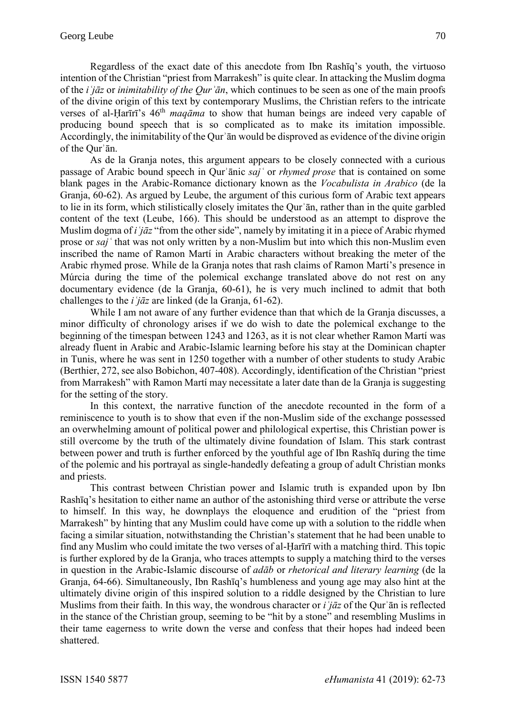Regardless of the exact date of this anecdote from Ibn Rashīq's youth, the virtuoso intention of the Christian "priest from Marrakesh" is quite clear. In attacking the Muslim dogma of the *iʿjāz* or *inimitability of the Qurʾān*, which continues to be seen as one of the main proofs of the divine origin of this text by contemporary Muslims, the Christian refers to the intricate verses of al-Ḥarīrī's 46th *maqāma* to show that human beings are indeed very capable of producing bound speech that is so complicated as to make its imitation impossible. Accordingly, the inimitability of the Qurʾān would be disproved as evidence of the divine origin of the Qurʾān.

As de la Granja notes, this argument appears to be closely connected with a curious passage of Arabic bound speech in Qurʾānic *sajʿ* or *rhymed prose* that is contained on some blank pages in the Arabic-Romance dictionary known as the *Vocabulista in Arabico* (de la Granja, 60-62). As argued by Leube, the argument of this curious form of Arabic text appears to lie in its form, which stilistically closely imitates the Qurʾān, rather than in the quite garbled content of the text (Leube, 166). This should be understood as an attempt to disprove the Muslim dogma of *iʿjāz* "from the other side", namely by imitating it in a piece of Arabic rhymed prose or *sajʿ* that was not only written by a non-Muslim but into which this non-Muslim even inscribed the name of Ramon Martí in Arabic characters without breaking the meter of the Arabic rhymed prose. While de la Granja notes that rash claims of Ramon Martí's presence in Múrcia during the time of the polemical exchange translated above do not rest on any documentary evidence (de la Granja, 60-61), he is very much inclined to admit that both challenges to the *iʿjāz* are linked (de la Granja, 61-62).

While I am not aware of any further evidence than that which de la Granja discusses, a minor difficulty of chronology arises if we do wish to date the polemical exchange to the beginning of the timespan between 1243 and 1263, as it is not clear whether Ramon Martí was already fluent in Arabic and Arabic-Islamic learning before his stay at the Dominican chapter in Tunis, where he was sent in 1250 together with a number of other students to study Arabic (Berthier, 272, see also Bobichon, 407-408). Accordingly, identification of the Christian "priest from Marrakesh" with Ramon Martí may necessitate a later date than de la Granja is suggesting for the setting of the story.

In this context, the narrative function of the anecdote recounted in the form of a reminiscence to youth is to show that even if the non-Muslim side of the exchange possessed an overwhelming amount of political power and philological expertise, this Christian power is still overcome by the truth of the ultimately divine foundation of Islam. This stark contrast between power and truth is further enforced by the youthful age of Ibn Rashīq during the time of the polemic and his portrayal as single-handedly defeating a group of adult Christian monks and priests.

This contrast between Christian power and Islamic truth is expanded upon by Ibn Rashīq's hesitation to either name an author of the astonishing third verse or attribute the verse to himself. In this way, he downplays the eloquence and erudition of the "priest from Marrakesh" by hinting that any Muslim could have come up with a solution to the riddle when facing a similar situation, notwithstanding the Christian's statement that he had been unable to find any Muslim who could imitate the two verses of al-Ḥarīrī with a matching third. This topic is further explored by de la Granja, who traces attempts to supply a matching third to the verses in question in the Arabic-Islamic discourse of *adāb* or *rhetorical and literary learning* (de la Granja, 64-66). Simultaneously, Ibn Rashīq's humbleness and young age may also hint at the ultimately divine origin of this inspired solution to a riddle designed by the Christian to lure Muslims from their faith. In this way, the wondrous character or *iʿjāz* of the Qurʾān is reflected in the stance of the Christian group, seeming to be "hit by a stone" and resembling Muslims in their tame eagerness to write down the verse and confess that their hopes had indeed been shattered.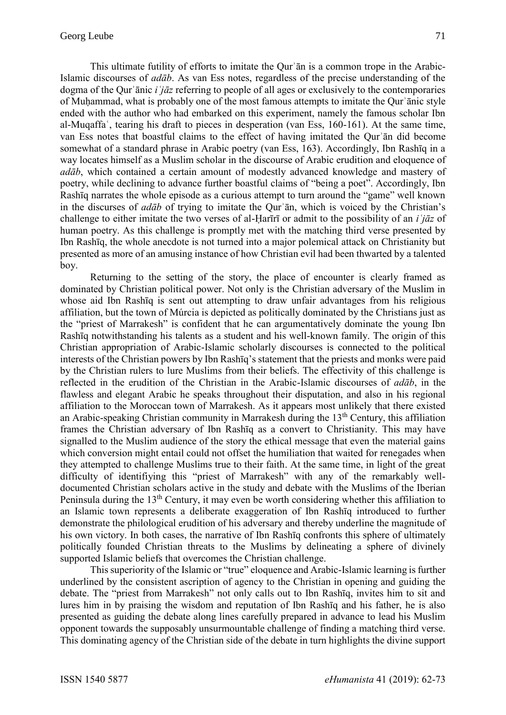This ultimate futility of efforts to imitate the Qurʾān is a common trope in the Arabic-Islamic discourses of *adāb*. As van Ess notes, regardless of the precise understanding of the dogma of the Qurʾānic *iʿjāz* referring to people of all ages or exclusively to the contemporaries of Muḥammad, what is probably one of the most famous attempts to imitate the Qurʾānic style ended with the author who had embarked on this experiment, namely the famous scholar Ibn al-Muqaffaʿ, tearing his draft to pieces in desperation (van Ess, 160-161). At the same time, van Ess notes that boastful claims to the effect of having imitated the Qurʾān did become somewhat of a standard phrase in Arabic poetry (van Ess, 163). Accordingly, Ibn Rashīq in a way locates himself as a Muslim scholar in the discourse of Arabic erudition and eloquence of *adāb*, which contained a certain amount of modestly advanced knowledge and mastery of poetry, while declining to advance further boastful claims of "being a poet". Accordingly, Ibn Rashīq narrates the whole episode as a curious attempt to turn around the "game" well known in the discurses of *adāb* of trying to imitate the Qurʾān, which is voiced by the Christian's challenge to either imitate the two verses of al-Ḥarīrī or admit to the possibility of an *iʿjāz* of human poetry. As this challenge is promptly met with the matching third verse presented by Ibn Rashīq, the whole anecdote is not turned into a major polemical attack on Christianity but presented as more of an amusing instance of how Christian evil had been thwarted by a talented boy.

Returning to the setting of the story, the place of encounter is clearly framed as dominated by Christian political power. Not only is the Christian adversary of the Muslim in whose aid Ibn Rashīq is sent out attempting to draw unfair advantages from his religious affiliation, but the town of Múrcia is depicted as politically dominated by the Christians just as the "priest of Marrakesh" is confident that he can argumentatively dominate the young Ibn Rashīq notwithstanding his talents as a student and his well-known family. The origin of this Christian appropriation of Arabic-Islamic scholarly discourses is connected to the political interests of the Christian powers by Ibn Rashīq's statement that the priests and monks were paid by the Christian rulers to lure Muslims from their beliefs. The effectivity of this challenge is reflected in the erudition of the Christian in the Arabic-Islamic discourses of *adāb*, in the flawless and elegant Arabic he speaks throughout their disputation, and also in his regional affiliation to the Moroccan town of Marrakesh. As it appears most unlikely that there existed an Arabic-speaking Christian community in Marrakesh during the  $13<sup>th</sup>$  Century, this affiliation frames the Christian adversary of Ibn Rashīq as a convert to Christianity. This may have signalled to the Muslim audience of the story the ethical message that even the material gains which conversion might entail could not offset the humiliation that waited for renegades when they attempted to challenge Muslims true to their faith. At the same time, in light of the great difficulty of identifiying this "priest of Marrakesh" with any of the remarkably welldocumented Christian scholars active in the study and debate with the Muslims of the Iberian Peninsula during the  $13<sup>th</sup>$  Century, it may even be worth considering whether this affiliation to an Islamic town represents a deliberate exaggeration of Ibn Rashīq introduced to further demonstrate the philological erudition of his adversary and thereby underline the magnitude of his own victory. In both cases, the narrative of Ibn Rashīq confronts this sphere of ultimately politically founded Christian threats to the Muslims by delineating a sphere of divinely supported Islamic beliefs that overcomes the Christian challenge.

This superiority of the Islamic or "true" eloquence and Arabic-Islamic learning is further underlined by the consistent ascription of agency to the Christian in opening and guiding the debate. The "priest from Marrakesh" not only calls out to Ibn Rashīq, invites him to sit and lures him in by praising the wisdom and reputation of Ibn Rashīq and his father, he is also presented as guiding the debate along lines carefully prepared in advance to lead his Muslim opponent towards the supposably unsurmountable challenge of finding a matching third verse. This dominating agency of the Christian side of the debate in turn highlights the divine support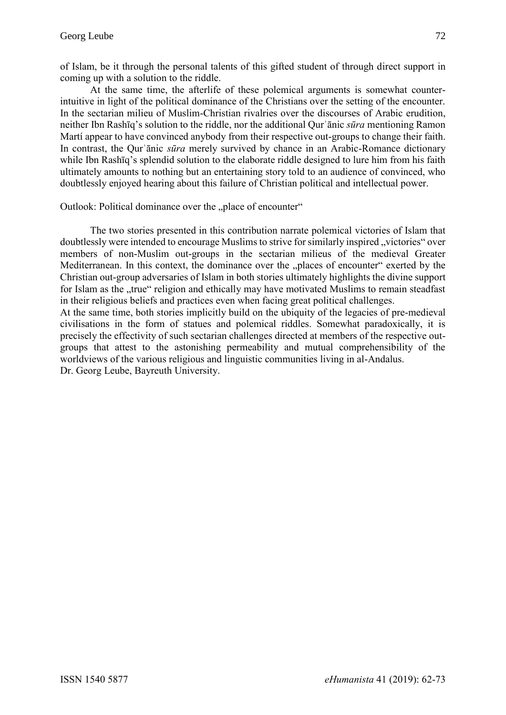of Islam, be it through the personal talents of this gifted student of through direct support in coming up with a solution to the riddle.

At the same time, the afterlife of these polemical arguments is somewhat counterintuitive in light of the political dominance of the Christians over the setting of the encounter. In the sectarian milieu of Muslim-Christian rivalries over the discourses of Arabic erudition, neither Ibn Rashīq's solution to the riddle, nor the additional Qurʾānic *sūra* mentioning Ramon Martí appear to have convinced anybody from their respective out-groups to change their faith. In contrast, the Qurʾānic *sūra* merely survived by chance in an Arabic-Romance dictionary while Ibn Rashīq's splendid solution to the elaborate riddle designed to lure him from his faith ultimately amounts to nothing but an entertaining story told to an audience of convinced, who doubtlessly enjoyed hearing about this failure of Christian political and intellectual power.

Outlook: Political dominance over the "place of encounter"

The two stories presented in this contribution narrate polemical victories of Islam that doubtlessly were intended to encourage Muslims to strive for similarly inspired "victories" over members of non-Muslim out-groups in the sectarian milieus of the medieval Greater Mediterranean. In this context, the dominance over the "places of encounter" exerted by the Christian out-group adversaries of Islam in both stories ultimately highlights the divine support for Islam as the "true" religion and ethically may have motivated Muslims to remain steadfast in their religious beliefs and practices even when facing great political challenges.

At the same time, both stories implicitly build on the ubiquity of the legacies of pre-medieval civilisations in the form of statues and polemical riddles. Somewhat paradoxically, it is precisely the effectivity of such sectarian challenges directed at members of the respective outgroups that attest to the astonishing permeability and mutual comprehensibility of the worldviews of the various religious and linguistic communities living in al-Andalus. Dr. Georg Leube, Bayreuth University.